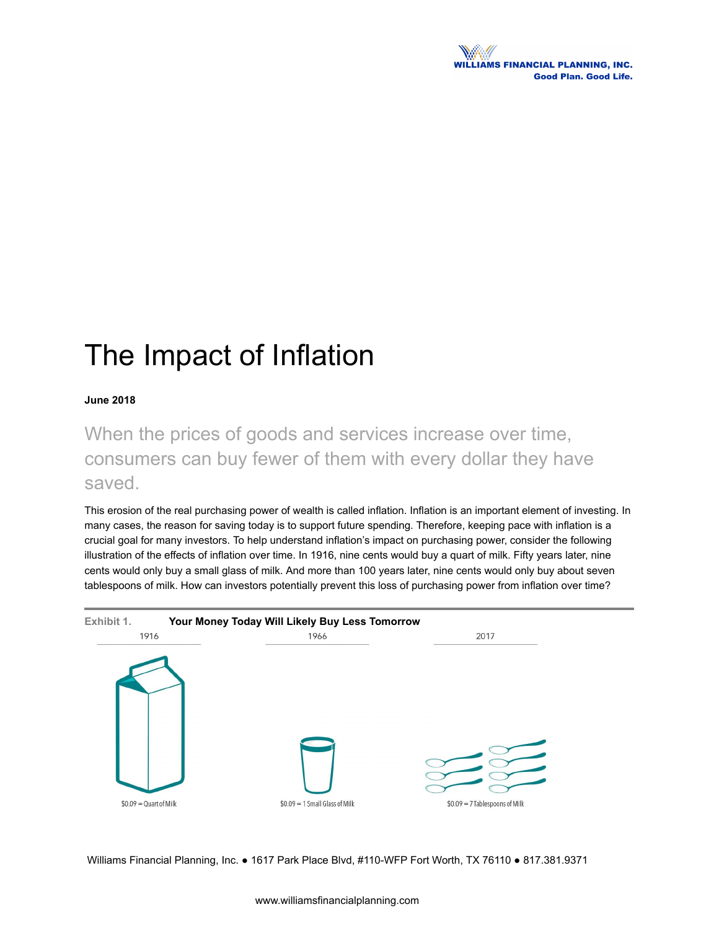

# The Impact of Inflation

### **June 2018**

## When the prices of goods and services increase over time, consumers can buy fewer of them with every dollar they have saved.

This erosion of the real purchasing power of wealth is called inflation. Inflation is an important element of investing. In many cases, the reason for saving today is to support future spending. Therefore, keeping pace with inflation is a crucial goal for many investors. To help understand inflation's impact on purchasing power, consider the following illustration of the effects of inflation over time. In 1916, nine cents would buy a quart of milk. Fifty years later, nine cents would only buy a small glass of milk. And more than 100 years later, nine cents would only buy about seven tablespoons of milk. How can investors potentially prevent this loss of purchasing power from inflation over time?



Williams Financial Planning, Inc. ● 1617 Park Place Blvd, #110-WFP Fort Worth, TX 76110 ● 817.381.9371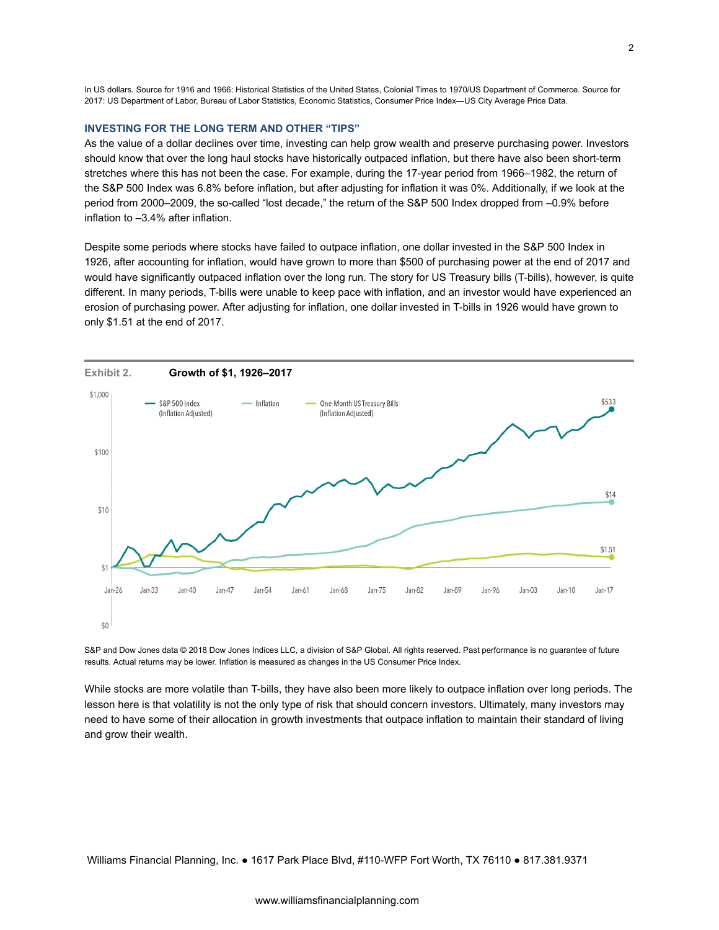In US dollars. Source for 1916 and 1966: Historical Statistics of the United States, Colonial Times to 1970/US Department of Commerce. Source for 2017: US Department of Labor, Bureau of Labor Statistics, Economic Statistics, Consumer Price Index—US City Average Price Data.

#### **INVESTING FOR THE LONG TERM AND OTHER "TIPS"**

As the value of a dollar declines over time, investing can help grow wealth and preserve purchasing power. Investors should know that over the long haul stocks have historically outpaced inflation, but there have also been short-term stretches where this has not been the case. For example, during the 17-year period from 1966–1982, the return of the S&P 500 Index was 6.8% before inflation, but after adjusting for inflation it was 0%. Additionally, if we look at the period from 2000–2009, the so-called "lost decade," the return of the S&P 500 Index dropped from –0.9% before inflation to –3.4% after inflation.

Despite some periods where stocks have failed to outpace inflation, one dollar invested in the S&P 500 Index in 1926, after accounting for inflation, would have grown to more than \$500 of purchasing power at the end of 2017 and would have significantly outpaced inflation over the long run. The story for US Treasury bills (T-bills), however, is quite different. In many periods, T-bills were unable to keep pace with inflation, and an investor would have experienced an erosion of purchasing power. After adjusting for inflation, one dollar invested in T-bills in 1926 would have grown to only \$1.51 at the end of 2017.



S&P and Dow Jones data © 2018 Dow Jones Indices LLC, a division of S&P Global. All rights reserved. Past performance is no guarantee of future results. Actual returns may be lower. Inflation is measured as changes in the US Consumer Price Index.

While stocks are more volatile than T-bills, they have also been more likely to outpace inflation over long periods. The lesson here is that volatility is not the only type of risk that should concern investors. Ultimately, many investors may need to have some of their allocation in growth investments that outpace inflation to maintain their standard of living and grow their wealth.

Williams Financial Planning, Inc. ● 1617 Park Place Blvd, #110-WFP Fort Worth, TX 76110 ● 817.381.9371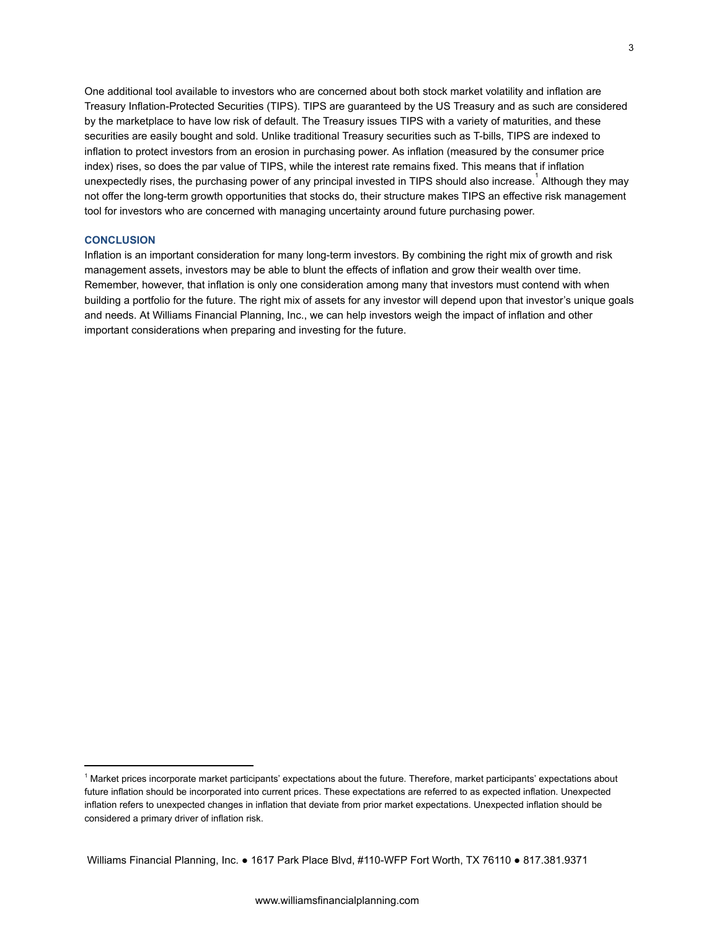One additional tool available to investors who are concerned about both stock market volatility and inflation are Treasury Inflation-Protected Securities (TIPS). TIPS are guaranteed by the US Treasury and as such are considered by the marketplace to have low risk of default. The Treasury issues TIPS with a variety of maturities, and these securities are easily bought and sold. Unlike traditional Treasury securities such as T-bills, TIPS are indexed to inflation to protect investors from an erosion in purchasing power. As inflation (measured by the consumer price index) rises, so does the par value of TIPS, while the interest rate remains fixed. This means that if inflation unexpectedly rises, the purchasing power of any principal invested in TIPS should also increase.<sup>1</sup> Although they may not offer the long-term growth opportunities that stocks do, their structure makes TIPS an effective risk management tool for investors who are concerned with managing uncertainty around future purchasing power.

#### **CONCLUSION**

Inflation is an important consideration for many long-term investors. By combining the right mix of growth and risk management assets, investors may be able to blunt the effects of inflation and grow their wealth over time. Remember, however, that inflation is only one consideration among many that investors must contend with when building a portfolio for the future. The right mix of assets for any investor will depend upon that investor's unique goals and needs. At Williams Financial Planning, Inc., we can help investors weigh the impact of inflation and other important considerations when preparing and investing for the future.

<sup>&</sup>lt;sup>1</sup> Market prices incorporate market participants' expectations about the future. Therefore, market participants' expectations about future inflation should be incorporated into current prices. These expectations are referred to as expected inflation. Unexpected inflation refers to unexpected changes in inflation that deviate from prior market expectations. Unexpected inflation should be considered a primary driver of inflation risk.

Williams Financial Planning, Inc. ● 1617 Park Place Blvd, #110-WFP Fort Worth, TX 76110 ● 817.381.9371